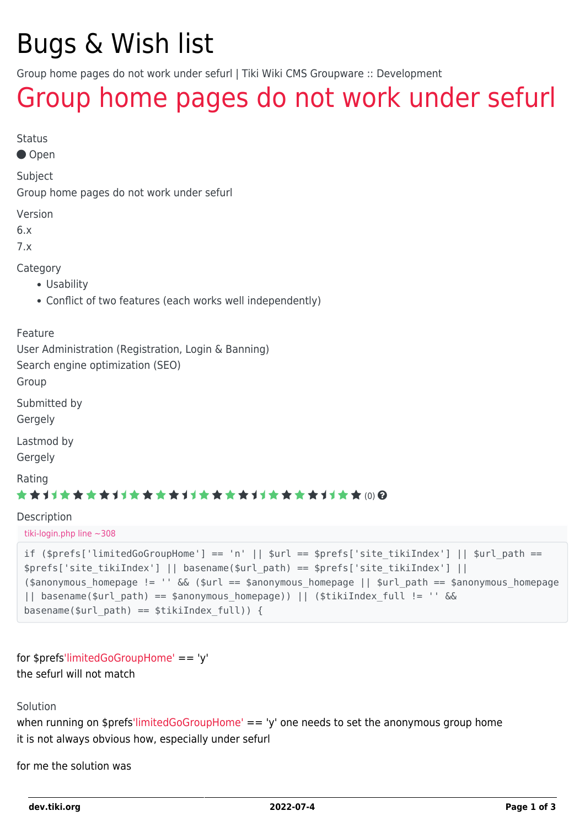# Bugs & Wish list

Group home pages do not work under sefurl | Tiki Wiki CMS Groupware :: Development

## [Group home pages do not work under sefurl](https://dev.tiki.org/item3771-Group-home-pages-do-not-work-under-sefurl)

Status

Open

Subject

Group home pages do not work under sefurl

Version

6.x

7.x

Category

- Usability
- Conflict of two features (each works well independently)

#### Feature

User Administration (Registration, Login & Banning)

Search engine optimization (SEO)

Group

Submitted by

Gergely

Lastmod by

Gergely

Rating

#### (0)

Description

tiki-login.php line ~308

```
if ($prefix['limitedGoGroupHome'] == 'n' || $url == $prefix['site tikiIndex'] || $url path ==$prefs['site_tikiIndex'] || basename($url_path) == $prefs['site_tikiIndex'] ||
($anonymous homepage != '' && ($url == $anonymous homepage || $url path == $anonymous homepage
|| basename($url_path) == $anonymous_homepage)) || ($tikiIndex_full != '' &&
basename($url path) == $tikiIndex full)) {
```

```
for $prefs'limitedGoGroupHome' == 'y'
the sefurl will not match
```
Solution

when running on \$pref[s'limitedGoGroupHome'](https://dev.tiki.org/) == 'y' one needs to set the anonymous group home it is not always obvious how, especially under sefurl

for me the solution was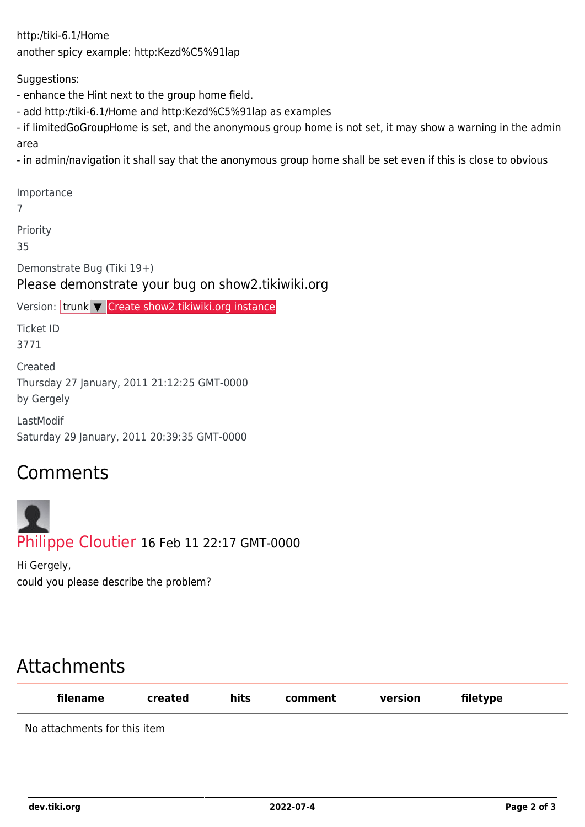http:/tiki-6.1/Home another spicy example: http:Kezd%C5%91lap

Suggestions:

- enhance the Hint next to the group home field.
- add http:/tiki-6.1/Home and http:Kezd%C5%91lap as examples
- if limitedGoGroupHome is set, and the anonymous group home is not set, it may show a warning in the admin area
- in admin/navigation it shall say that the anonymous group home shall be set even if this is close to obvious

Importance 7 Priority 35 Demonstrate Bug (Tiki 19+) Please demonstrate your bug on show2.tikiwiki.org Version: trunk ▼ [Create show2.tikiwiki.org instance](#page--1-0) Ticket ID 3771 Created Thursday 27 January, 2011 21:12:25 GMT-0000 by Gergely LastModif Saturday 29 January, 2011 20:39:35 GMT-0000

### Comments

[Philippe Cloutier](https://dev.tiki.org/user232) 16 Feb 11 22:17 GMT-0000

Hi Gergely, could you please describe the problem?

## Attachments

| filename                     | created | hits | comment | version | filetype |  |
|------------------------------|---------|------|---------|---------|----------|--|
| No attachments for this item |         |      |         |         |          |  |